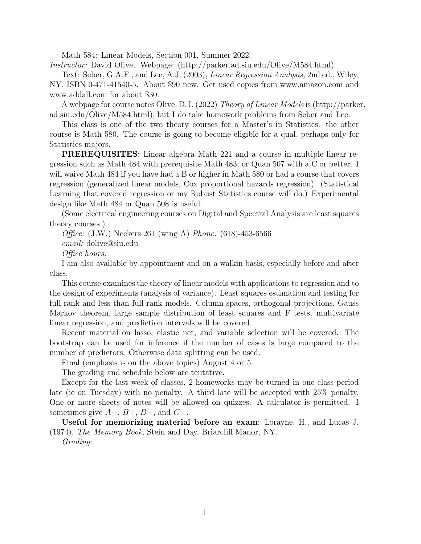Math 584: Linear Models, Section 001, Summer 2022.

Instructor: David Olive, Webpage: (http://parker.ad.siu.edu/Olive/M584.html).

Text: Seber, G.A.F., and Lee, A.J. (2003), Linear Regression Analysis, 2nd ed., Wiley, NY. ISBN 0-471-41540-5. About \$90 new. Get used copies from www.amazon.com and www.addall.com for about \$30.

A webpage for course notes Olive, D.J. (2022) Theory of Linear Models is (http://parker. ad.siu.edu/Olive/M584.html), but I do take homework problems from Seber and Lee.

This class is one of the two theory courses for a Master's in Statistics: the other course is Math 580. The course is going to become eligible for a qual, perhaps only for Statistics majors.

PREREQUISITES: Linear algebra Math 221 and a course in multiple linear regression such as Math 484 with prerequisite Math 483, or Quan 507 with a C or better. I will waive Math 484 if you have had a B or higher in Math 580 or had a course that covers regression (generalized linear models, Cox proportional hazards regression). (Statistical Learning that covered regression or my Robust Statistics course will do.) Experimental design like Math 484 or Quan 508 is useful.

(Some electrical engineering courses on Digital and Spectral Analysis are least squares theory courses.)

Office: (J.W.) Neckers 261 (wing A) Phone: (618)-453-6566 email: dolive@siu.edu Office hours:

I am also available by appointment and on a walkin basis, especially before and after class.

This course examines the theory of linear models with applications to regression and to the design of experiments (analysis of variance). Least squares estimation and testing for full rank and less than full rank models. Column spaces, orthogonal projections, Gauss Markov theorem, large sample distribution of least squares and F tests, multivariate linear regression, and prediction intervals will be covered.

Recent material on lasso, elastic net, and variable selection will be covered. The bootstrap can be used for inference if the number of cases is large compared to the number of predictors. Otherwise data splitting can be used.

Final (emphasis is on the above topics) August 4 or 5.

The grading and schedule below are tentative.

Except for the last week of classes, 2 homeworks may be turned in one class period late (ie on Tuesday) with no penalty. A third late will be accepted with 25% penalty. One or more sheets of notes will be allowed on quizzes. A calculator is permitted. I sometimes give  $A-$ ,  $B+$ ,  $B-$ , and  $C+$ .

Useful for memorizing material before an exam: Lorayne, H., and Lucas J. (1974), The Memory Book, Stein and Day, Briarcliff Manor, NY.

Grading: